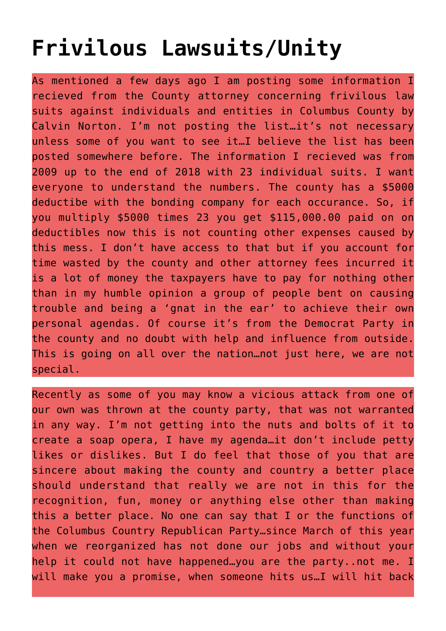## **[Frivilous Lawsuits/Unity](https://columbuscountyconservative.com/index.php/frivilous-lawsuits-unity/)**

As mentioned a few days ago I am posting some information I recieved from the County attorney concerning frivilous law suits against individuals and entities in Columbus County by Calvin Norton. I'm not posting the list…it's not necessary unless some of you want to see it…I believe the list has been posted somewhere before. The information I recieved was from 2009 up to the end of 2018 with 23 individual suits. I want everyone to understand the numbers. The county has a \$5000 deductibe with the bonding company for each occurance. So, if you multiply \$5000 times 23 you get \$115,000.00 paid on on deductibles now this is not counting other expenses caused by this mess. I don't have access to that but if you account for time wasted by the county and other attorney fees incurred it is a lot of money the taxpayers have to pay for nothing other than in my humble opinion a group of people bent on causing trouble and being a 'gnat in the ear' to achieve their own personal agendas. Of course it's from the Democrat Party in the county and no doubt with help and influence from outside. This is going on all over the nation…not just here, we are not special.

Recently as some of you may know a vicious attack from one of our own was thrown at the county party, that was not warranted in any way. I'm not getting into the nuts and bolts of it to create a soap opera, I have my agenda…it don't include petty likes or dislikes. But I do feel that those of you that are sincere about making the county and country a better place should understand that really we are not in this for the recognition, fun, money or anything else other than making this a better place. No one can say that I or the functions of the Columbus Country Republican Party…since March of this year when we reorganized has not done our jobs and without your help it could not have happened…you are the party..not me. I will make you a promise, when someone hits us…I will hit back